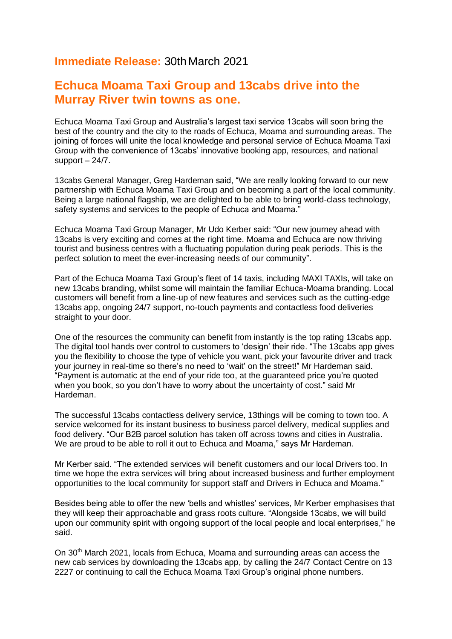## **Immediate Release:** 30th March 2021

## **Echuca Moama Taxi Group and 13cabs drive into the Murray River twin towns as one.**

Echuca Moama Taxi Group and Australia's largest taxi service 13cabs will soon bring the best of the country and the city to the roads of Echuca, Moama and surrounding areas. The joining of forces will unite the local knowledge and personal service of Echuca Moama Taxi Group with the convenience of 13cabs' innovative booking app, resources, and national support  $-24/7$ .

13cabs General Manager, Greg Hardeman said, "We are really looking forward to our new partnership with Echuca Moama Taxi Group and on becoming a part of the local community. Being a large national flagship, we are delighted to be able to bring world-class technology, safety systems and services to the people of Echuca and Moama."

Echuca Moama Taxi Group Manager, Mr Udo Kerber said: "Our new journey ahead with 13cabs is very exciting and comes at the right time. Moama and Echuca are now thriving tourist and business centres with a fluctuating population during peak periods. This is the perfect solution to meet the ever-increasing needs of our community".

Part of the Echuca Moama Taxi Group's fleet of 14 taxis, including MAXI TAXIs, will take on new 13cabs branding, whilst some will maintain the familiar Echuca-Moama branding. Local customers will benefit from a line-up of new features and services such as the cutting-edge 13cabs app, ongoing 24/7 support, no-touch payments and contactless food deliveries straight to your door.

One of the resources the community can benefit from instantly is the top rating 13cabs app. The digital tool hands over control to customers to 'design' their ride. "The 13cabs app gives you the flexibility to choose the type of vehicle you want, pick your favourite driver and track your journey in real-time so there's no need to 'wait' on the street!" Mr Hardeman said. "Payment is automatic at the end of your ride too, at the guaranteed price you're quoted when you book, so you don't have to worry about the uncertainty of cost." said Mr Hardeman.

The successful 13cabs contactless delivery service, 13things will be coming to town too. A service welcomed for its instant business to business parcel delivery, medical supplies and food delivery. "Our B2B parcel solution has taken off across towns and cities in Australia. We are proud to be able to roll it out to Echuca and Moama," says Mr Hardeman.

Mr Kerber said. "The extended services will benefit customers and our local Drivers too. In time we hope the extra services will bring about increased business and further employment opportunities to the local community for support staff and Drivers in Echuca and Moama."

Besides being able to offer the new 'bells and whistles' services, Mr Kerber emphasises that they will keep their approachable and grass roots culture. "Alongside 13cabs, we will build upon our community spirit with ongoing support of the local people and local enterprises," he said.

On 30th March 2021, locals from Echuca, Moama and surrounding areas can access the new cab services by downloading the 13cabs app, by calling the 24/7 Contact Centre on 13 2227 or continuing to call the Echuca Moama Taxi Group's original phone numbers.